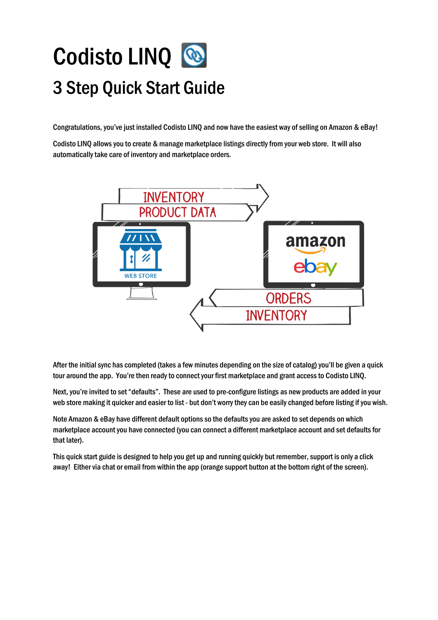# Codisto LINQ 3 Step Quick Start Guide

Congratulations, you've just installed Codisto LINQ and now have the easiest way of selling on Amazon & eBay!

Codisto LINQ allows you to create & manage marketplace listings directly from your web store. It will also automatically take care of inventory and marketplace orders.



After the initial sync has completed (takes a few minutes depending on the size of catalog) you'll be given a quick tour around the app. You're then ready to connect your first marketplace and grant access to Codisto LINQ.

Next, you're invited to set "defaults". These are used to pre-configure listings as new products are added in your web store making it quicker and easier to list - but don't worry they can be easily changed before listing if you wish.

Note Amazon & eBay have different default options so the defaults you are asked to set depends on which marketplace account you have connected (you can connect a different marketplace account and set defaults for that later).

This quick start guide is designed to help you get up and running quickly but remember, support is only a click away! Either via chat or email from within the app (orange support button at the bottom right of the screen).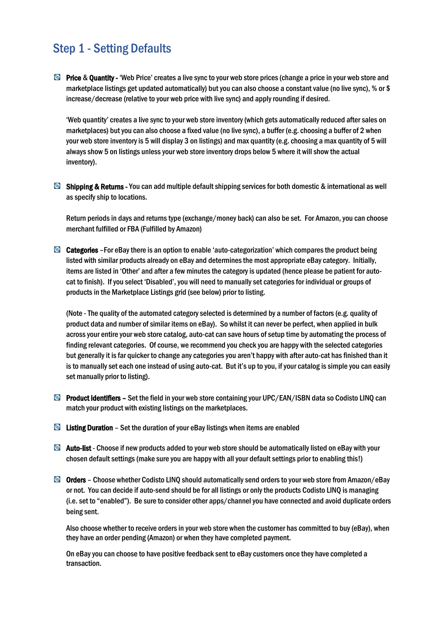## Step 1 - Setting Defaults

**D** Price & Quantity - 'Web Price' creates a live sync to your web store prices (change a price in your web store and marketplace listings get updated automatically) but you can also choose a constant value (no live sync), % or \$ increase/decrease (relative to your web price with live sync) and apply rounding if desired.

'Web quantity' creates a live sync to your web store inventory (which gets automatically reduced after sales on marketplaces) but you can also choose a fixed value (no live sync), a buffer (e.g. choosing a buffer of 2 when your web store inventory is 5 will display 3 on listings) and max quantity (e.g. choosing a max quantity of 5 will always show 5 on listings unless your web store inventory drops below 5 where it will show the actual inventory).

**Shipping & Retums** - You can add multiple default shipping services for both domestic & international as well as specify ship to locations.

Return periods in days and returns type (exchange/money back) can also be set. For Amazon, you can choose merchant fulfilled or FBA (Fulfilled by Amazon)

 $\bullet$  Categories - For eBay there is an option to enable 'auto-categorization' which compares the product being listed with similar products already on eBay and determines the most appropriate eBay category. Initially, items are listed in 'Other' and after a few minutes the category is updated (hence please be patient for autocat to finish). If you select 'Disabled', you will need to manually set categories for individual or groups of products in the Marketplace Listings grid (see below) prior to listing.

(Note - The quality of the automated category selected is determined by a number of factors (e.g. quality of product data and number of similar items on eBay). So whilst it can never be perfect, when applied in bulk across your entire your web store catalog, auto-cat can save hours of setup time by automating the process of finding relevant categories. Of course, we recommend you check you are happy with the selected categories but generally it is far quicker to change any categories you aren't happy with after auto-cat has finished than it is to manually set each one instead of using auto-cat. But it's up to you, if your catalog is simple you can easily set manually prior to listing).

- **B** Product identifiers Set the field in your web store containing your UPC/EAN/ISBN data so Codisto LINQ can match your product with existing listings on the marketplaces.
- $\blacksquare$  Listing Duration Set the duration of your eBay listings when items are enabled
- Auto-list Choose if new products added to your web store should be automatically listed on eBay with your chosen default settings (make sure you are happy with all your default settings prior to enabling this!)
- Orders Choose whether Codisto LINQ should automatically send orders to your web store from Amazon/eBay or not. You can decide if auto-send should be for all listings or only the products Codisto LINQ is managing (i.e. set to "enabled"). Be sure to consider other apps/channel you have connected and avoid duplicate orders being sent.

Also choose whether to receive orders in your web store when the customer has committed to buy (eBay), when they have an order pending (Amazon) or when they have completed payment.

On eBay you can choose to have positive feedback sent to eBay customers once they have completed a transaction.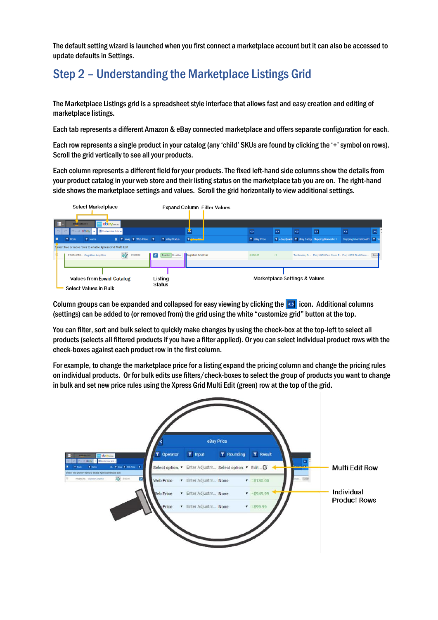The default setting wizard is launched when you first connect a marketplace account but it can also be accessed to update defaults in Settings.

## Step 2 – Understanding the Marketplace Listings Grid

The Marketplace Listings grid is a spreadsheet style interface that allows fast and easy creation and editing of marketplace listings.

Each tab represents a different Amazon & eBay connected marketplace and offersseparate configuration for each.

Each row represents a single product in your catalog (any 'child' SKUs are found by clicking the '+' symbol on rows). Scroll the grid vertically to see all your products.

Each column represents a different field for your products. The fixed left-hand side columns show the details from your product catalog in your web store and their listing status on the marketplace tab you are on. The right-hand side shows the marketplace settings and values. Scroll the grid horizontally to view additional settings.



Column groups can be expanded and collapsed for easy viewing by clicking the  $\heartsuit$  icon. Additional columns (settings) can be added to (or removed from) the grid using the white "customize grid" button at the top.

You can filter, sort and bulk select to quickly make changes by using the check-box at the top-left to select all products(selects all filtered products if you have a filter applied). Or you can select individual product rows with the check-boxes against each product row in the first column.

For example, to change the marketplace price for a listing expand the pricing column and change the pricing rules on individual products. Or for bulk edits use filters/check-boxes to select the group of products you want to change in bulk and set new price rules using the Xpress Grid Multi Edit (green) row at the top of the grid.

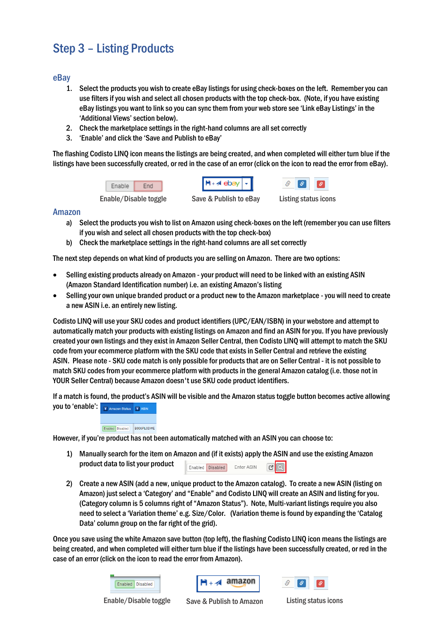# Step 3 – Listing Products

## eBay

- 1. Select the products you wish to create eBay listings for using check-boxes on the left. Remember you can use filters if you wish and select all chosen products with the top check-box. (Note, if you have existing eBay listings you want to link so you can sync them from your web store see 'Link eBay Listings' in the 'Additional Views' section below).
- 2. Check the marketplace settings in the right-hand columns are all set correctly
- 3. 'Enable' and click the 'Save and Publish to eBay'

The flashing Codisto LINQ icon means the listings are being created, and when completed will either turn blue if the listings have been successfully created, or red in the case of an error (click on the icon to read the error from eBay).



#### Amazon

- a) Select the products you wish to list on Amazon using check-boxes on the left (remember you can use filters if you wish and select all chosen products with the top check-box)
- b) Check the marketplace settings in the right-hand columns are all set correctly

The next step depends on what kind of products you are selling on Amazon. There are two options:

- Selling existing products already on Amazon your product will need to be linked with an existing ASIN (Amazon Standard Identification number) i.e. an existing Amazon's listing
- Selling your own unique branded product or a product new to the Amazon marketplace you will need to create a new ASIN i.e. an entirely new listing.

Codisto LINQ will use your SKU codes and product identifiers (UPC/EAN/ISBN) in your webstore and attempt to automatically match your products with existing listings on Amazon and find an ASIN for you. If you have previously created your own listings and they exist in Amazon Seller Central, then Codisto LINQ will attempt to match the SKU code from your ecommerce platform with the SKU code that exists in Seller Central and retrieve the existing ASIN. Please note - SKU code match is only possible for products that are on Seller Central - it is not possible to match SKU codes from your ecommerce platform with products in the general Amazon catalog (i.e. those not in YOUR Seller Central) because Amazon doesn't use SKU code product identifiers.

If a match is found, the product's ASIN will be visible and the Amazon status toggle button becomes active allowing you to 'enable': T Amazon Status T ASIN



However, if you're product has not been automatically matched with an ASIN you can choose to:

- 1) Manually search for the item on Amazon and (if it exists) apply the ASIN and use the existing Amazon product data to list your product Enabled Disabled Enter ASIN  $\vert G \vert$
- 2) Create a new ASIN (add a new, unique product to the Amazon catalog). To create a new ASIN (listing on Amazon) just select a 'Category' and "Enable" and Codisto LINQ will create an ASIN and listing for you. (Category column is 5 columns right of "Amazon Status"). Note, Multi-variant listings require you also need to select a 'Variation theme' e.g. Size/Color. (Variation theme is found by expanding the 'Catalog Data' column group on the far right of the grid).

Once you save using the white Amazon save button (top left), the flashing Codisto LINQ icon means the listings are being created, and when completed will either turn blue if the listings have been successfully created, or red in the case of an error (click on the icon to read the error from Amazon).